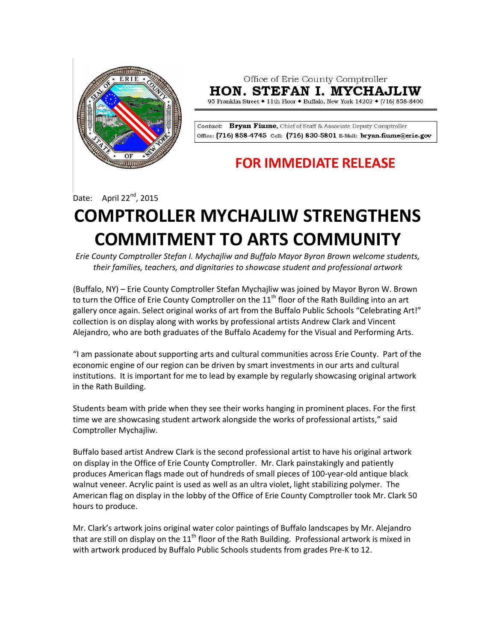

Office of Erie County Comptroller **HON. STEFAN I. MYCHAJLIW** 

95 Franklin Street ♦ 11th Floor ♦ Buffalo, New York 14202 ♦ (716) 858-8400

Contact: Bryan Fiume, Chief of Staff & Associate Deputy Comptroller Office: (716) 858-4745 Cell: (716) 830-5801 E-Mail: bryan.fiume@erie.gov

## **FOR IMMEDIATE RELEASE**

Date: April 22<sup>nd</sup>, 2015

## **COMPTROLLER MYCHAJLIW STRENGTHENS COMMITMENT TO ARTS COMMUNITY**

*Erie County Comptroller Stefan I. Mychajliw and Buffalo Mayor Byron Brown welcome students, their families, teachers, and dignitaries to showcase student and professional artwork*

(Buffalo, NY) – Erie County Comptroller Stefan Mychajliw was joined by Mayor Byron W. Brown to turn the Office of Erie County Comptroller on the  $11<sup>th</sup>$  floor of the Rath Building into an art gallery once again. Select original works of art from the Buffalo Public Schools "Celebrating Art!" collection is on display along with works by professional artists Andrew Clark and Vincent Alejandro, who are both graduates of the Buffalo Academy for the Visual and Performing Arts.

"I am passionate about supporting arts and cultural communities across Erie County. Part of the economic engine of our region can be driven by smart investments in our arts and cultural institutions. It is important for me to lead by example by regularly showcasing original artwork in the Rath Building.

Students beam with pride when they see their works hanging in prominent places. For the first time we are showcasing student artwork alongside the works of professional artists," said Comptroller Mychajliw.

Buffalo based artist Andrew Clark is the second professional artist to have his original artwork on display in the Office of Erie County Comptroller. Mr. Clark painstakingly and patiently produces American flags made out of hundreds of small pieces of 100-year-old antique black walnut veneer. Acrylic paint is used as well as an ultra violet, light stabilizing polymer. The American flag on display in the lobby of the Office of Erie County Comptroller took Mr. Clark 50 hours to produce.

Mr. Clark's artwork joins original water color paintings of Buffalo landscapes by Mr. Alejandro that are still on display on the  $11<sup>th</sup>$  floor of the Rath Building. Professional artwork is mixed in with artwork produced by Buffalo Public Schools students from grades Pre-K to 12.